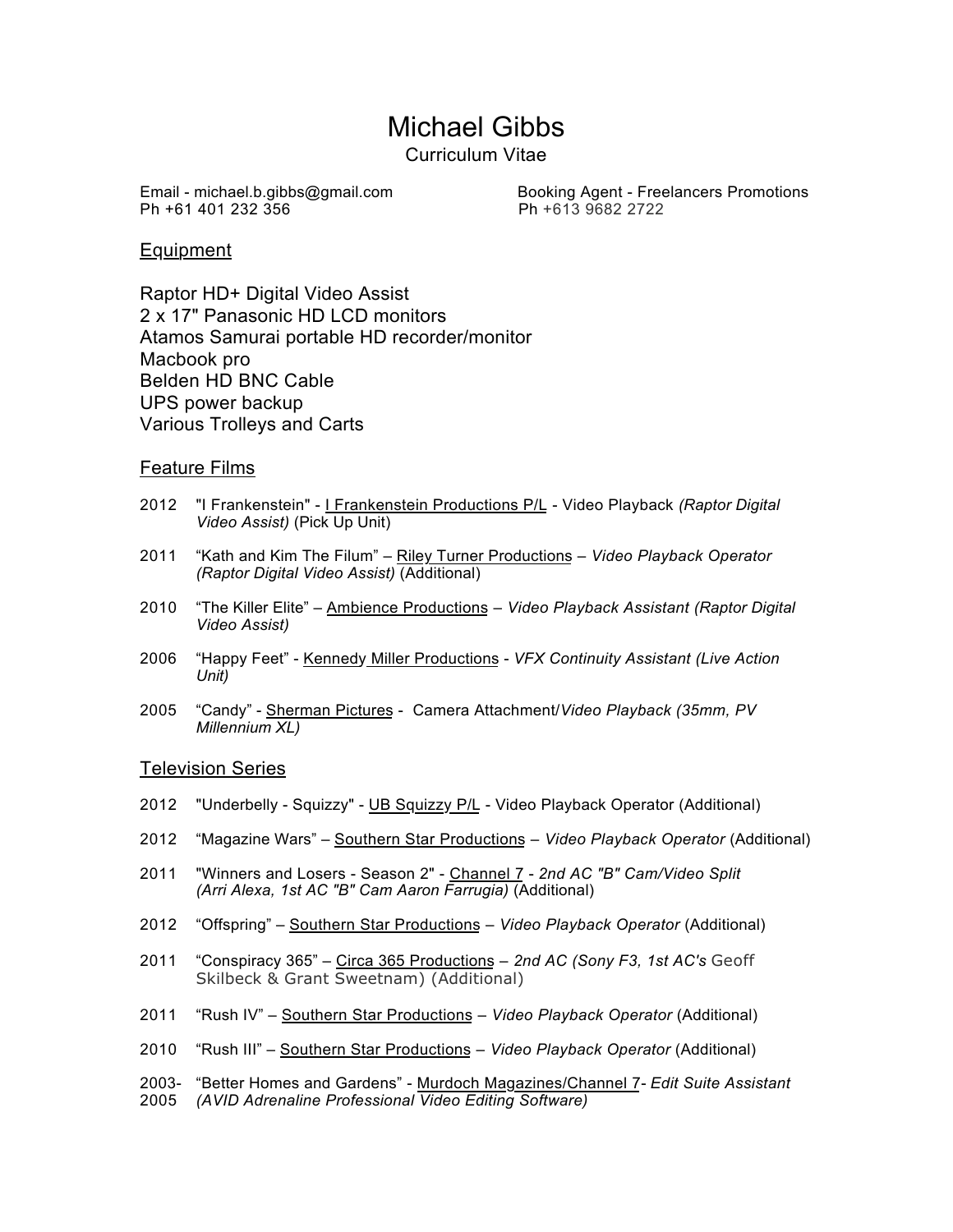# Michael Gibbs

Curriculum Vitae

Ph +61 401 232 356 Ph +613 9682 2722

Email - michael.b.gibbs@gmail.com Booking Agent - Freelancers Promotions

## Equipment

Raptor HD+ Digital Video Assist 2 x 17" Panasonic HD LCD monitors Atamos Samurai portable HD recorder/monitor Macbook pro Belden HD BNC Cable UPS power backup Various Trolleys and Carts

## Feature Films

- 2012 "I Frankenstein" I Frankenstein Productions P/L Video Playback *(Raptor Digital Video Assist)* (Pick Up Unit)
- 2011 "Kath and Kim The Filum" Riley Turner Productions *Video Playback Operator (Raptor Digital Video Assist)* (Additional)
- 2010 "The Killer Elite" Ambience Productions *Video Playback Assistant (Raptor Digital Video Assist)*
- 2006 "Happy Feet" Kennedy Miller Productions *VFX Continuity Assistant (Live Action Unit)*
- 2005 "Candy" Sherman Pictures Camera Attachment/*Video Playback (35mm, PV Millennium XL)*

### Television Series

- 2012 "Underbelly Squizzy" UB Squizzy P/L Video Playback Operator (Additional)
- 2012 "Magazine Wars" Southern Star Productions *Video Playback Operator* (Additional)
- 2011 "Winners and Losers Season 2" Channel 7 *2nd AC "B" Cam/Video Split (Arri Alexa, 1st AC "B" Cam Aaron Farrugia)* (Additional)
- 2012 "Offspring" Southern Star Productions *Video Playback Operator* (Additional)
- 2011 "Conspiracy 365" Circa 365 Productions *2nd AC (Sony F3, 1st AC's* Geoff Skilbeck & Grant Sweetnam) (Additional)
- 2011 "Rush IV" Southern Star Productions *Video Playback Operator* (Additional)
- 2010 "Rush III" Southern Star Productions *Video Playback Operator* (Additional)
- 2003- "Better Homes and Gardens" Murdoch Magazines/Channel 7- *Edit Suite Assistant*  2005 *(AVID Adrenaline Professional Video Editing Software)*